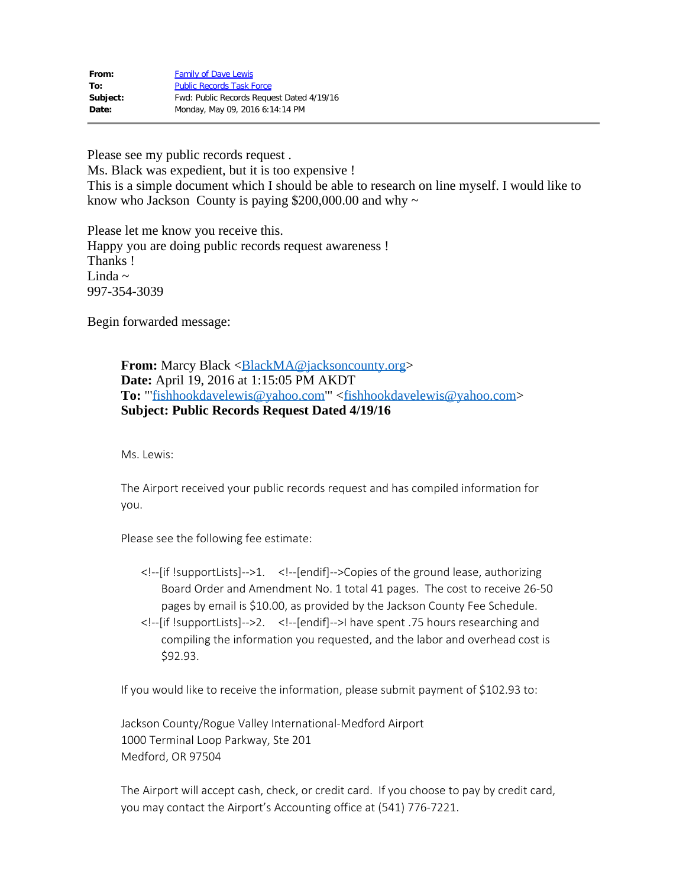| From:    | <b>Family of Dave Lewis</b>               |
|----------|-------------------------------------------|
| To:      | <b>Public Records Task Force</b>          |
| Subject: | Fwd: Public Records Request Dated 4/19/16 |
| Date:    | Monday, May 09, 2016 6:14:14 PM           |

Please see my public records request . Ms. Black was expedient, but it is too expensive ! This is a simple document which I should be able to research on line myself. I would like to know who Jackson County is paying \$200,000.00 and why  $\sim$ 

Please let me know you receive this. Happy you are doing public records request awareness ! Thanks ! Linda  $\sim$ 997-354-3039

Begin forwarded message:

**From:** Marcy Black <<u>BlackMA@jacksoncounty.org</u>> **Date:** April 19, 2016 at 1:15:05 PM AKDT **To:** "'[fishhookdavelewis@yahoo.com](mailto:fishhookdavelewis@yahoo.com)'" <[fishhookdavelewis@yahoo.com>](mailto:fishhookdavelewis@yahoo.com) **Subject: Public Records Request Dated 4/19/16**

Ms. Lewis:

The Airport received your public records request and has compiled information for you.

Please see the following fee estimate:

- <!--[if !supportLists]-->1. <!--[endif]-->Copies of the ground lease, authorizing Board Order and Amendment No. 1 total 41 pages. The cost to receive 26-50 pages by email is \$10.00, as provided by the Jackson County Fee Schedule.
- <!--[if !supportLists]-->2. <!--[endif]-->I have spent .75 hours researching and compiling the information you requested, and the labor and overhead cost is \$92.93.

If you would like to receive the information, please submit payment of \$102.93 to:

Jackson County/Rogue Valley International-Medford Airport 1000 Terminal Loop Parkway, Ste 201 Medford, OR 97504

The Airport will accept cash, check, or credit card. If you choose to pay by credit card, you may contact the Airport's Accounting office at (541) 776-7221.